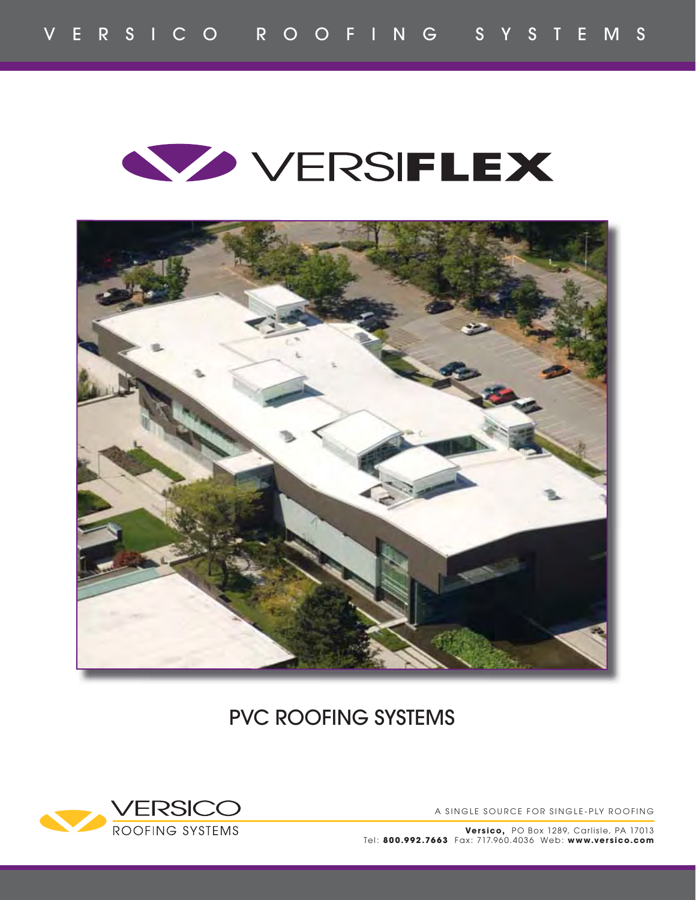



PVC ROOFING SYSTEMS



A SINGLE SOURCE FOR SINGLE-PLY ROOFING

**Versico,** PO Box 1289, Carlisle, PA 17013 Tel: **800.992.7663** Fax: 717.960.4 036 Web: **www.versico.com**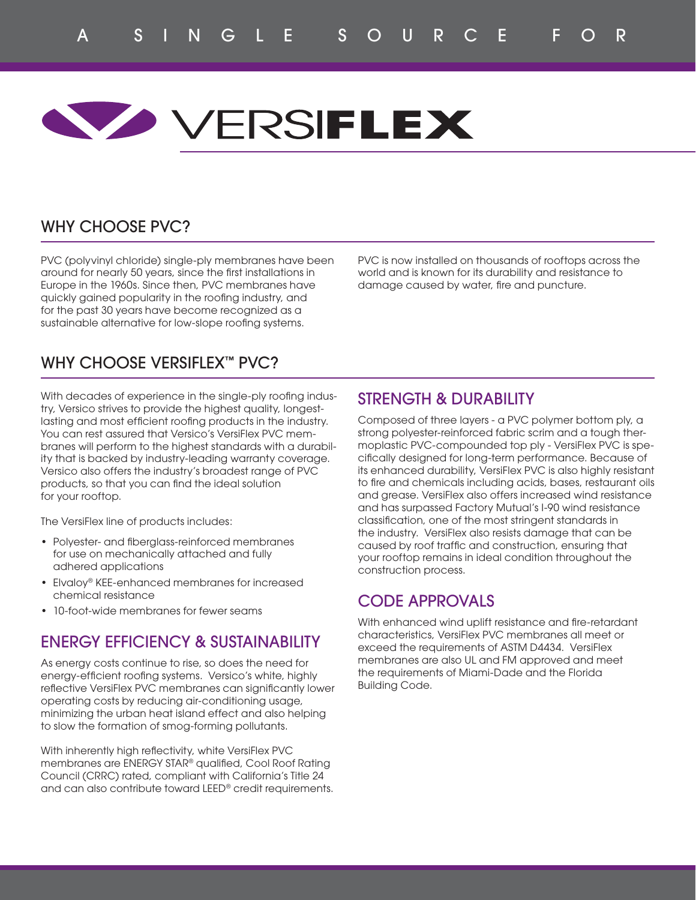# **WOVERSIFLEX**

## WHY CHOOSE PVC?

PVC (polyvinyl chloride) single-ply membranes have been around for nearly 50 years, since the first installations in Europe in the 1960s. Since then, PVC membranes have quickly gained popularity in the roofing industry, and for the past 30 years have become recognized as a sustainable alternative for low-slope roofing systems.

PVC is now installed on thousands of rooftops across the world and is known for its durability and resistance to damage caused by water, fire and puncture.

## WHY CHOOSE VERSIFLEX™ PVC?

With decades of experience in the single-ply roofing industry, Versico strives to provide the highest quality, longestlasting and most efficient roofing products in the industry. You can rest assured that Versico's VersiFlex PVC membranes will perform to the highest standards with a durability that is backed by industry-leading warranty coverage. Versico also offers the industry's broadest range of PVC products, so that you can find the ideal solution for your rooftop.

The VersiFlex line of products includes:

- Polyester- and fiberglass-reinforced membranes for use on mechanically attached and fully adhered applications
- Elvaloy® KEE-enhanced membranes for increased chemical resistance
- 10-foot-wide membranes for fewer seams

## ENERGY EFFICIENCY & SUSTAINABILITY

As energy costs continue to rise, so does the need for energy-efficient roofing systems. Versico's white, highly reflective VersiFlex PVC membranes can significantly lower operating costs by reducing air-conditioning usage, minimizing the urban heat island effect and also helping to slow the formation of smog-forming pollutants.

With inherently high reflectivity, white VersiFlex PVC membranes are ENERGY STAR® qualified, Cool Roof Rating Council (CRRC) rated, compliant with California's Title 24 and can also contribute toward LEED® credit requirements.

## STRENGTH & DURABILITY

Composed of three layers - a PVC polymer bottom ply, a strong polyester-reinforced fabric scrim and a tough thermoplastic PVC-compounded top ply - VersiFlex PVC is specifically designed for long-term performance. Because of its enhanced durability, VersiFlex PVC is also highly resistant to fire and chemicals including acids, bases, restaurant oils and grease. VersiFlex also offers increased wind resistance and has surpassed Factory Mutual's I-90 wind resistance classification, one of the most stringent standards in the industry. VersiFlex also resists damage that can be caused by roof traffic and construction, ensuring that your rooftop remains in ideal condition throughout the construction process.

## CODE APPROVALS

With enhanced wind uplift resistance and fire-retardant characteristics, VersiFlex PVC membranes all meet or exceed the requirements of ASTM D4434. VersiFlex membranes are also UL and FM approved and meet the requirements of Miami-Dade and the Florida Building Code.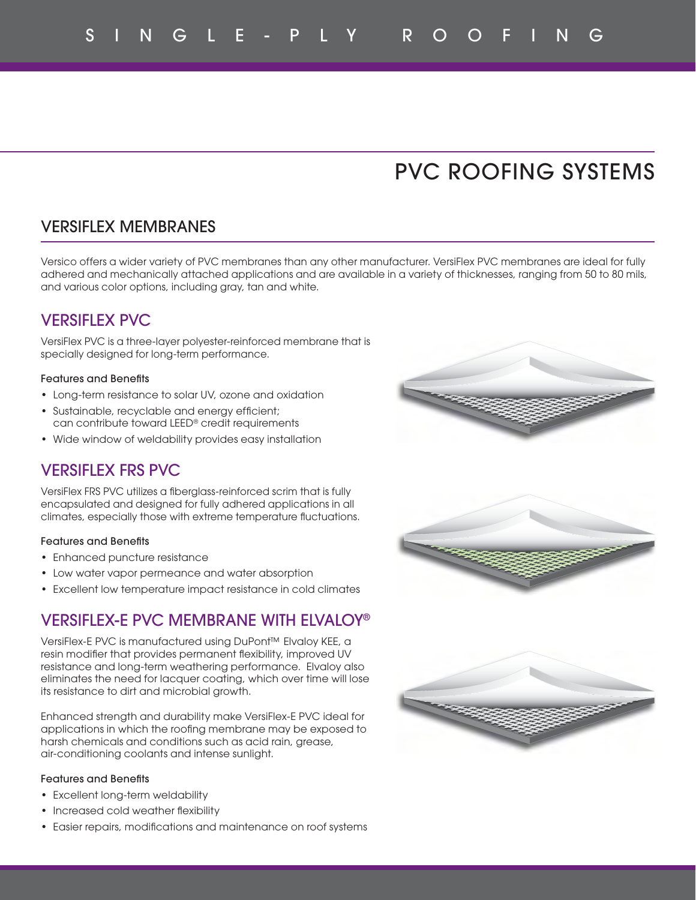## PVC ROOFING SYSTEMS

## VERSIFLEX MEMBRANES

Versico offers a wider variety of PVC membranes than any other manufacturer. VersiFlex PVC membranes are ideal for fully adhered and mechanically attached applications and are available in a variety of thicknesses, ranging from 50 to 80 mils, and various color options, including gray, tan and white.

## VERSIFLEX PVC

VersiFlex PVC is a three-layer polyester-reinforced membrane that is specially designed for long-term performance.

#### Features and Benefits

- Long-term resistance to solar UV, ozone and oxidation
- Sustainable, recyclable and energy efficient; can contribute toward LEED® credit requirements
- Wide window of weldability provides easy installation

## VERSIFLEX FRS PVC

VersiFlex FRS PVC utilizes a fiberglass-reinforced scrim that is fully encapsulated and designed for fully adhered applications in all climates, especially those with extreme temperature fluctuations.

#### Features and Benefits

- Enhanced puncture resistance
- Low water vapor permeance and water absorption
- Excellent low temperature impact resistance in cold climates

### VERSIFLEX-E PVC MEMBRANE WITH ELVALOY®

VersiFlex-E PVC is manufactured using DuPont™ Elvaloy KEE, a resin modifier that provides permanent flexibility, improved UV resistance and long-term weathering performance. Elvaloy also eliminates the need for lacquer coating, which over time will lose its resistance to dirt and microbial growth.

Enhanced strength and durability make VersiFlex-E PVC ideal for applications in which the roofing membrane may be exposed to harsh chemicals and conditions such as acid rain, grease, air-conditioning coolants and intense sunlight.

#### Features and Benefits

- Excellent long-term weldability
- Increased cold weather flexibility
- Easier repairs, modifications and maintenance on roof systems